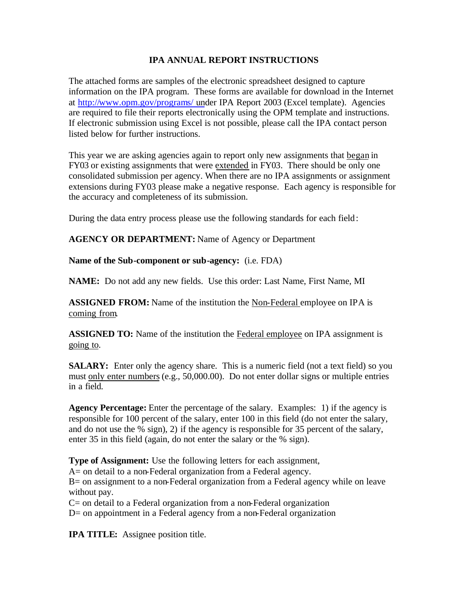## **IPA ANNUAL REPORT INSTRUCTIONS**

The attached forms are samples of the electronic spreadsheet designed to capture information on the IPA program. These forms are available for download in the Internet at [http://www.opm.gov/programs/ und](http://www.opm.gov/programs/ipa)er IPA Report 2003 (Excel template). Agencies are required to file their reports electronically using the OPM template and instructions. If electronic submission using Excel is not possible, please call the IPA contact person listed below for further instructions.

This year we are asking agencies again to report only new assignments that began in FY03 or existing assignments that were extended in FY03. There should be only one consolidated submission per agency. When there are no IPA assignments or assignment extensions during FY03 please make a negative response. Each agency is responsible for the accuracy and completeness of its submission.

During the data entry process please use the following standards for each field:

**AGENCY OR DEPARTMENT:** Name of Agency or Department

**Name of the Sub-component or sub-agency:** (i.e. FDA)

**NAME:** Do not add any new fields. Use this order: Last Name, First Name, MI

**ASSIGNED FROM:** Name of the institution the Non-Federal employee on IPA is coming from.

**ASSIGNED TO:** Name of the institution the Federal employee on IPA assignment is going to.

**SALARY:** Enter only the agency share. This is a numeric field (not a text field) so you must only enter numbers (e.g., 50,000.00). Do not enter dollar signs or multiple entries in a field.

**Agency Percentage:** Enter the percentage of the salary. Examples: 1) if the agency is responsible for 100 percent of the salary, enter 100 in this field (do not enter the salary, and do not use the % sign), 2) if the agency is responsible for 35 percent of the salary, enter 35 in this field (again, do not enter the salary or the % sign).

**Type of Assignment:** Use the following letters for each assignment,

A= on detail to a non-Federal organization from a Federal agency.

B= on assignment to a non-Federal organization from a Federal agency while on leave without pay.

C= on detail to a Federal organization from a non-Federal organization

D= on appointment in a Federal agency from a non-Federal organization

**IPA TITLE:** Assignee position title.